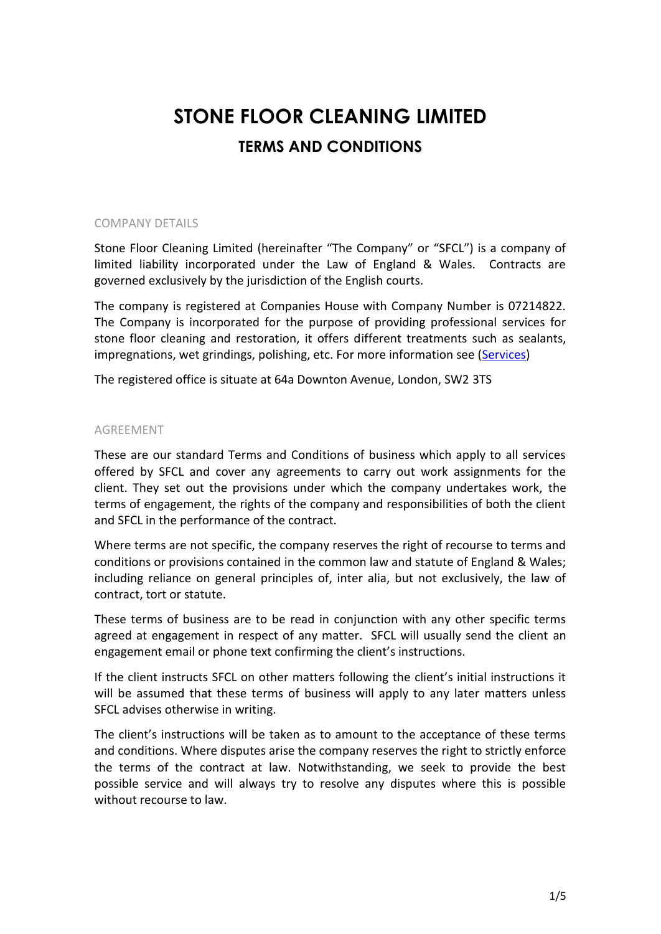# **STONE FLOOR CLEANING LIMITED TERMS AND CONDITIONS**

# COMPANY DETAILS

Stone Floor Cleaning Limited (hereinafter "The Company" or "SFCL") is a company of limited liability incorporated under the Law of England & Wales. Contracts are governed exclusively by the jurisdiction of the English courts.

The company is registered at Companies House with Company Number is 07214822. The Company is incorporated for the purpose of providing professional services for stone floor cleaning and restoration, it offers different treatments such as sealants, impregnations, wet grindings, polishing, etc. For more information see [\(Services\)](http://www.stonefloorcleaning.co.uk/services.htm)

The registered office is situate at 64a Downton Avenue, London, SW2 3TS

### AGREEMENT

These are our standard Terms and Conditions of business which apply to all services offered by SFCL and cover any agreements to carry out work assignments for the client. They set out the provisions under which the company undertakes work, the terms of engagement, the rights of the company and responsibilities of both the client and SFCL in the performance of the contract.

Where terms are not specific, the company reserves the right of recourse to terms and conditions or provisions contained in the common law and statute of England & Wales; including reliance on general principles of, inter alia, but not exclusively, the law of contract, tort or statute.

These terms of business are to be read in conjunction with any other specific terms agreed at engagement in respect of any matter. SFCL will usually send the client an engagement email or phone text confirming the client's instructions.

If the client instructs SFCL on other matters following the client's initial instructions it will be assumed that these terms of business will apply to any later matters unless SFCL advises otherwise in writing.

The client's instructions will be taken as to amount to the acceptance of these terms and conditions. Where disputes arise the company reserves the right to strictly enforce the terms of the contract at law. Notwithstanding, we seek to provide the best possible service and will always try to resolve any disputes where this is possible without recourse to law.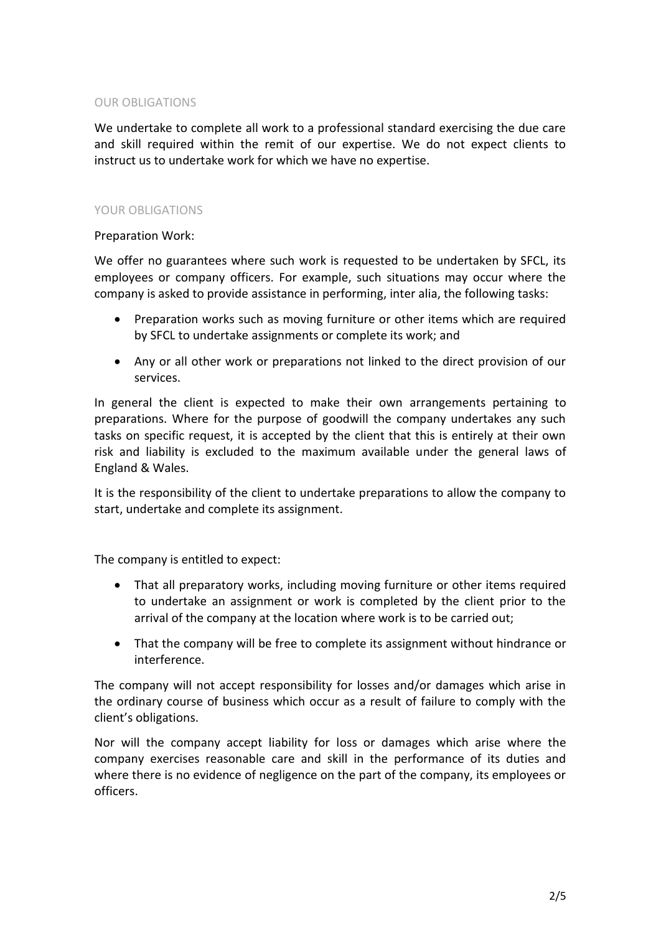# OUR OBLIGATIONS

We undertake to complete all work to a professional standard exercising the due care and skill required within the remit of our expertise. We do not expect clients to instruct us to undertake work for which we have no expertise.

# YOUR OBLIGATIONS

Preparation Work:

We offer no guarantees where such work is requested to be undertaken by SFCL, its employees or company officers. For example, such situations may occur where the company is asked to provide assistance in performing, inter alia, the following tasks:

- Preparation works such as moving furniture or other items which are required by SFCL to undertake assignments or complete its work; and
- Any or all other work or preparations not linked to the direct provision of our services.

In general the client is expected to make their own arrangements pertaining to preparations. Where for the purpose of goodwill the company undertakes any such tasks on specific request, it is accepted by the client that this is entirely at their own risk and liability is excluded to the maximum available under the general laws of England & Wales.

It is the responsibility of the client to undertake preparations to allow the company to start, undertake and complete its assignment.

The company is entitled to expect:

- That all preparatory works, including moving furniture or other items required to undertake an assignment or work is completed by the client prior to the arrival of the company at the location where work is to be carried out;
- That the company will be free to complete its assignment without hindrance or interference.

The company will not accept responsibility for losses and/or damages which arise in the ordinary course of business which occur as a result of failure to comply with the client's obligations.

Nor will the company accept liability for loss or damages which arise where the company exercises reasonable care and skill in the performance of its duties and where there is no evidence of negligence on the part of the company, its employees or officers.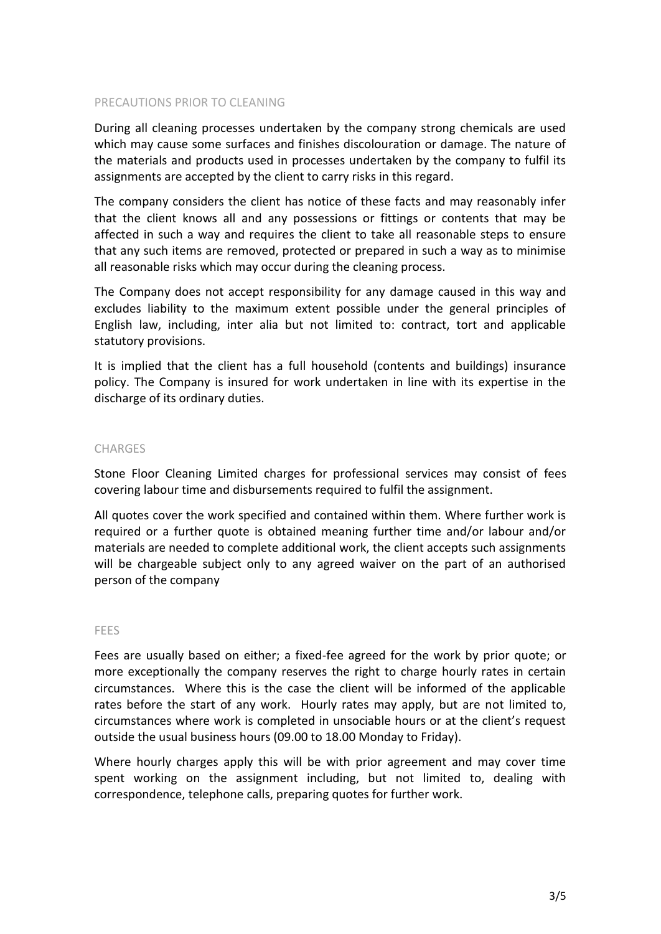### PRECAUTIONS PRIOR TO CLEANING

During all cleaning processes undertaken by the company strong chemicals are used which may cause some surfaces and finishes discolouration or damage. The nature of the materials and products used in processes undertaken by the company to fulfil its assignments are accepted by the client to carry risks in this regard.

The company considers the client has notice of these facts and may reasonably infer that the client knows all and any possessions or fittings or contents that may be affected in such a way and requires the client to take all reasonable steps to ensure that any such items are removed, protected or prepared in such a way as to minimise all reasonable risks which may occur during the cleaning process.

The Company does not accept responsibility for any damage caused in this way and excludes liability to the maximum extent possible under the general principles of English law, including, inter alia but not limited to: contract, tort and applicable statutory provisions.

It is implied that the client has a full household (contents and buildings) insurance policy. The Company is insured for work undertaken in line with its expertise in the discharge of its ordinary duties.

#### **CHARGES**

Stone Floor Cleaning Limited charges for professional services may consist of fees covering labour time and disbursements required to fulfil the assignment.

All quotes cover the work specified and contained within them. Where further work is required or a further quote is obtained meaning further time and/or labour and/or materials are needed to complete additional work, the client accepts such assignments will be chargeable subject only to any agreed waiver on the part of an authorised person of the company

#### FEES

Fees are usually based on either; a fixed-fee agreed for the work by prior quote; or more exceptionally the company reserves the right to charge hourly rates in certain circumstances. Where this is the case the client will be informed of the applicable rates before the start of any work. Hourly rates may apply, but are not limited to, circumstances where work is completed in unsociable hours or at the client's request outside the usual business hours (09.00 to 18.00 Monday to Friday).

Where hourly charges apply this will be with prior agreement and may cover time spent working on the assignment including, but not limited to, dealing with correspondence, telephone calls, preparing quotes for further work.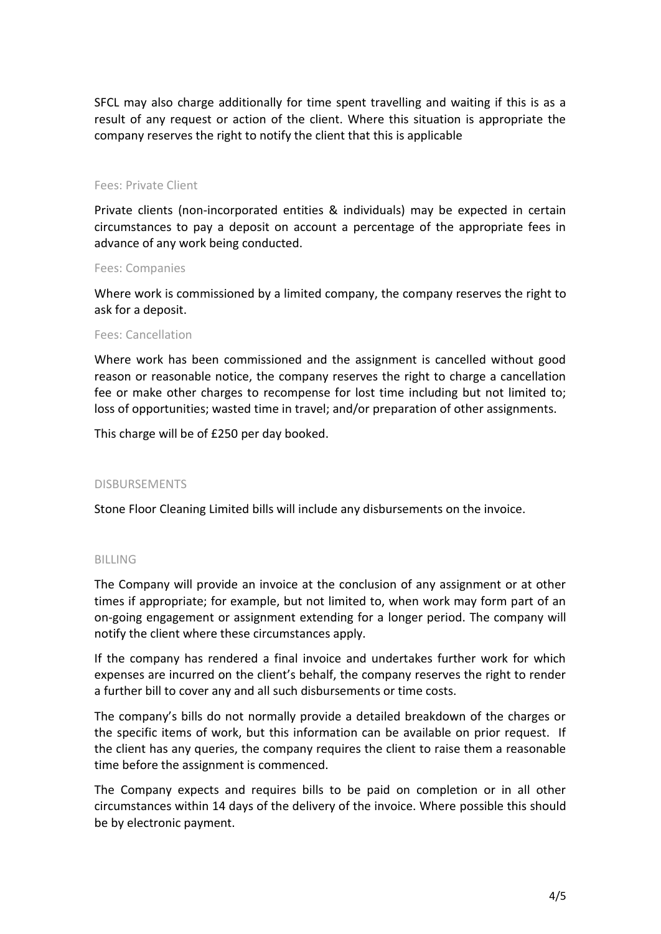SFCL may also charge additionally for time spent travelling and waiting if this is as a result of any request or action of the client. Where this situation is appropriate the company reserves the right to notify the client that this is applicable

### Fees: Private Client

Private clients (non-incorporated entities & individuals) may be expected in certain circumstances to pay a deposit on account a percentage of the appropriate fees in advance of any work being conducted.

#### Fees: Companies

Where work is commissioned by a limited company, the company reserves the right to ask for a deposit.

#### Fees: Cancellation

Where work has been commissioned and the assignment is cancelled without good reason or reasonable notice, the company reserves the right to charge a cancellation fee or make other charges to recompense for lost time including but not limited to; loss of opportunities; wasted time in travel; and/or preparation of other assignments.

This charge will be of £250 per day booked.

### DISBURSEMENTS

Stone Floor Cleaning Limited bills will include any disbursements on the invoice.

### BILLING

The Company will provide an invoice at the conclusion of any assignment or at other times if appropriate; for example, but not limited to, when work may form part of an on-going engagement or assignment extending for a longer period. The company will notify the client where these circumstances apply.

If the company has rendered a final invoice and undertakes further work for which expenses are incurred on the client's behalf, the company reserves the right to render a further bill to cover any and all such disbursements or time costs.

The company's bills do not normally provide a detailed breakdown of the charges or the specific items of work, but this information can be available on prior request. If the client has any queries, the company requires the client to raise them a reasonable time before the assignment is commenced.

The Company expects and requires bills to be paid on completion or in all other circumstances within 14 days of the delivery of the invoice. Where possible this should be by electronic payment.